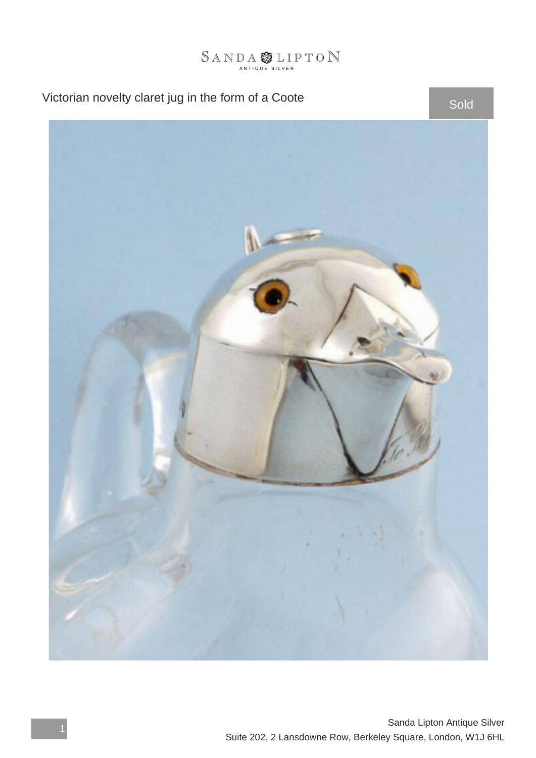

## Victorian novelty claret jug in the form of a Coote Sold